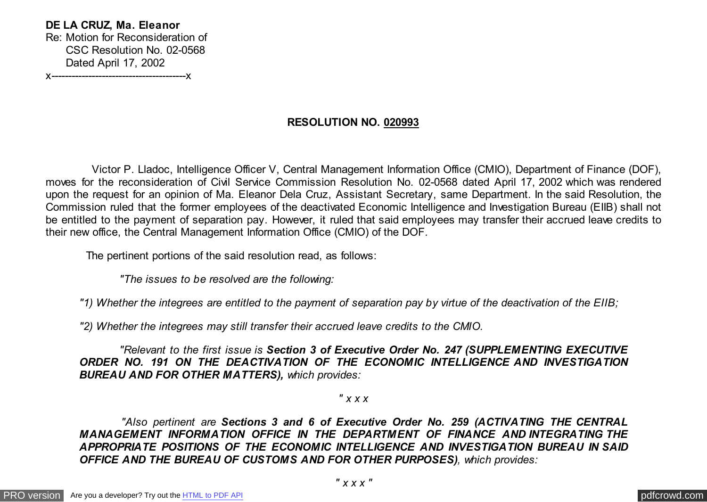**DE LA CRUZ, Ma. Eleanor** Re: Motion for Reconsideration of CSC Resolution No. 02-0568 Dated April 17, 2002 x----------------------------------------x

## **RESOLUTION NO. 020993**

 Victor P. Lladoc, Intelligence Officer V, Central Management Information Office (CMIO), Department of Finance (DOF), moves for the reconsideration of Civil Service Commission Resolution No. 02-0568 dated April 17, 2002 which was rendered upon the request for an opinion of Ma. Eleanor Dela Cruz, Assistant Secretary, same Department. In the said Resolution, the Commission ruled that the former employees of the deactivated Economic Intelligence and Investigation Bureau (EIIB) shall not be entitled to the payment of separation pay. However, it ruled that said employees may transfer their accrued leave credits to their new office, the Central Management Information Office (CMIO) of the DOF.

The pertinent portions of the said resolution read, as follows:

 *"The issues to be resolved are the following:*

*"1) Whether the integrees are entitled to the payment of separation pay by virtue of the deactivation of the EIIB;*

*"2) Whether the integrees may still transfer their accrued leave credits to the CMIO.*

 *"Relevant to the first issue is Section 3 of Executive Order No. 247 (SUPPLEMENTING EXECUTIVE ORDER NO. 191 ON THE DEACTIVATION OF THE ECONOMIC INTELLIGENCE AND INVESTIGATION BUREAU AND FOR OTHER MATTERS), which provides:*

*" x x x*

 *"Also pertinent are Sections 3 and 6 of Executive Order No. 259 (ACTIVATING THE CENTRAL MANAGEMENT INFORMATION OFFICE IN THE DEPARTMENT OF FINANCE AND INTEGRATING THE APPROPRIATE POSITIONS OF THE ECONOMIC INTELLIGENCE AND INVESTIGATION BUREAU IN SAID OFFICE AND THE BUREAU OF CUSTOMS AND FOR OTHER PURPOSES), which provides:*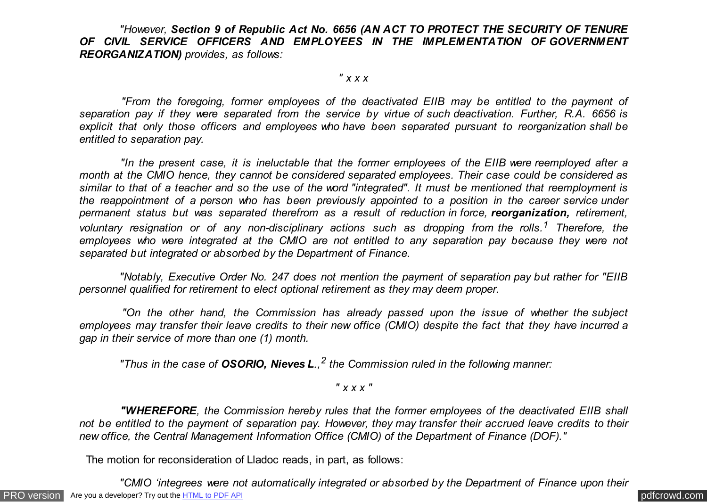*"However, Section 9 of Republic Act No. 6656 (AN ACT TO PROTECT THE SECURITY OF TENURE* OF CIVIL SERVICE OFFICERS AND EMPLOYEES IN THE IMPLEMENTATION OF GOVERNMENT *REORGANIZATION) provides, as follows:*

*" x x x*

 *"From the foregoing, former employees of the deactivated EIIB may be entitled to the payment of separation pay if they were separated from the service by virtue of such deactivation. Further, R.A. 6656 is explicit that only those officers and employees who have been separated pursuant to reorganization shall be entitled to separation pay.*

 *"In the present case, it is ineluctable that the former employees of the EIIB were reemployed after a month at the CMIO hence, they cannot be considered separated employees. Their case could be considered as similar to that of a teacher and so the use of the word "integrated". It must be mentioned that reemployment is the reappointment of a person who has been previously appointed to a position in the career service under permanent status but was separated therefrom as a result of reduction in force, reorganization, retirement, voluntary resignation or of any non-disciplinary actions such as dropping from the rolls.<sup>1</sup> Therefore, the employees who were integrated at the CMIO are not entitled to any separation pay because they were not separated but integrated or absorbed by the Department of Finance.*

 *"Notably, Executive Order No. 247 does not mention the payment of separation pay but rather for "EIIB personnel qualified for retirement to elect optional retirement as they may deem proper.*

 *"On the other hand, the Commission has already passed upon the issue of whether the subject employees may transfer their leave credits to their new office (CMIO) despite the fact that they have incurred a gap in their service of more than one (1) month.*

 *"Thus in the case of OSORIO, Nieves L., 2 the Commission ruled in the following manner:*

*" x x x "*

 *"WHEREFORE, the Commission hereby rules that the former employees of the deactivated EIIB shall not be entitled to the payment of separation pay. However, they may transfer their accrued leave credits to their new office, the Central Management Information Office (CMIO) of the Department of Finance (DOF)."*

The motion for reconsideration of Lladoc reads, in part, as follows:

[PRO version](http://pdfcrowd.com/customize/) Are you a developer? Try out th[e HTML to PDF API](http://pdfcrowd.com/html-to-pdf-api/?ref=pdf) process and the example of the HTML to PDF API [pdfcrowd.com](http://pdfcrowd.com)  *"CMIO 'integrees were not automatically integrated or absorbed by the Department of Finance upon their*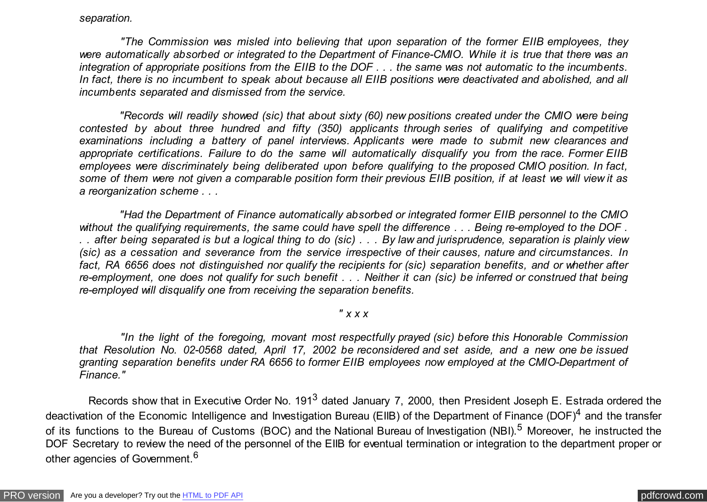#### *separation.*

 *"The Commission was misled into believing that upon separation of the former EIIB employees, they were automatically absorbed or integrated to the Department of Finance-CMIO. While it is true that there was an integration of appropriate positions from the EIIB to the DOF . . . the same was not automatic to the incumbents. In fact, there is no incumbent to speak about because all EIIB positions were deactivated and abolished, and all incumbents separated and dismissed from the service.*

 *"Records will readily showed (sic) that about sixty (60) new positions created under the CMIO were being contested by about three hundred and fifty (350) applicants through series of qualifying and competitive examinations including a battery of panel interviews. Applicants were made to submit new clearances and appropriate certifications. Failure to do the same will automatically disqualify you from the race. Former EIIB employees were discriminately being deliberated upon before qualifying to the proposed CMIO position. In fact, some of them were not given a comparable position form their previous EIIB position, if at least we will view it as a reorganization scheme . . .*

 *"Had the Department of Finance automatically absorbed or integrated former EIIB personnel to the CMIO without the qualifying requirements, the same could have spell the difference . . . Being re-employed to the DOF . . . after being separated is but a logical thing to do (sic) . . . By law and jurisprudence, separation is plainly view (sic) as a cessation and severance from the service irrespective of their causes, nature and circumstances. In fact, RA 6656 does not distinguished nor qualify the recipients for (sic) separation benefits, and or whether after re-employment, one does not qualify for such benefit . . . Neither it can (sic) be inferred or construed that being re-employed will disqualify one from receiving the separation benefits.*

# *" x x x*

 *"In the light of the foregoing, movant most respectfully prayed (sic) before this Honorable Commission that Resolution No. 02-0568 dated, April 17, 2002 be reconsidered and set aside, and a new one be issued granting separation benefits under RA 6656 to former EIIB employees now employed at the CMIO-Department of Finance."*

Records show that in Executive Order No. 191<sup>3</sup> dated January 7, 2000, then President Joseph E. Estrada ordered the deactivation of the Economic Intelligence and Investigation Bureau (EIIB) of the Department of Finance (DOF)<sup>4</sup> and the transfer of its functions to the Bureau of Customs (BOC) and the National Bureau of Investigation (NBI).<sup>5</sup> Moreover, he instructed the DOF Secretary to review the need of the personnel of the EIIB for eventual termination or integration to the department proper or other agencies of Government.<sup>6</sup>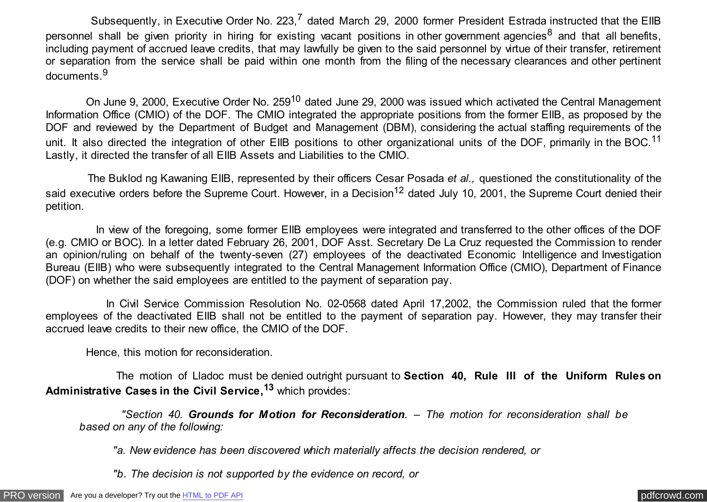Subsequently, in Executive Order No. 223,<sup>7</sup> dated March 29, 2000 former President Estrada instructed that the EIIB personnel shall be given priority in hiring for existing vacant positions in other government agencies<sup>8</sup> and that all benefits, including payment of accrued leave credits, that may lawfully be given to the said personnel by virtue of their transfer, retirement or separation from the service shall be paid within one month from the filing of the necessary clearances and other pertinent documents.<sup>9</sup>

On June 9, 2000, Executive Order No. 259<sup>10</sup> dated June 29, 2000 was issued which activated the Central Management Information Office (CMIO) of the DOF. The CMIO integrated the appropriate positions from the former EIIB, as proposed by the DOF and reviewed by the Department of Budget and Management (DBM), considering the actual staffing requirements of the unit. It also directed the integration of other EIIB positions to other organizational units of the DOF, primarily in the BOC.<sup>11</sup> Lastly, it directed the transfer of all EIIB Assets and Liabilities to the CMIO.

 The Buklod ng Kawaning EIIB, represented by their officers Cesar Posada *et al.,* questioned the constitutionality of the said executive orders before the Supreme Court. However, in a Decision<sup>12</sup> dated July 10, 2001, the Supreme Court denied their petition.

 In view of the foregoing, some former EIIB employees were integrated and transferred to the other offices of the DOF (e.g. CMIO or BOC). In a letter dated February 26, 2001, DOF Asst. Secretary De La Cruz requested the Commission to render an opinion/ruling on behalf of the twenty-seven (27) employees of the deactivated Economic Intelligence and Investigation Bureau (EIIB) who were subsequently integrated to the Central Management Information Office (CMIO), Department of Finance (DOF) on whether the said employees are entitled to the payment of separation pay.

 In Civil Service Commission Resolution No. 02-0568 dated April 17,2002, the Commission ruled that the former employees of the deactivated EIIB shall not be entitled to the payment of separation pay. However, they may transfer their accrued leave credits to their new office, the CMIO of the DOF.

Hence, this motion for reconsideration.

 The motion of Lladoc must be denied outright pursuant to **Section 40, Rule III of the Uniform Rules on Administrative Cases in the Civil Service,<sup>13</sup>** which provides:

 *"Section 40. Grounds for Motion for Reconsideration. – The motion for reconsideration shall be based on any of the following:*

*"a. New evidence has been discovered which materially affects the decision rendered, or*

*"b. The decision is not supported by the evidence on record, or*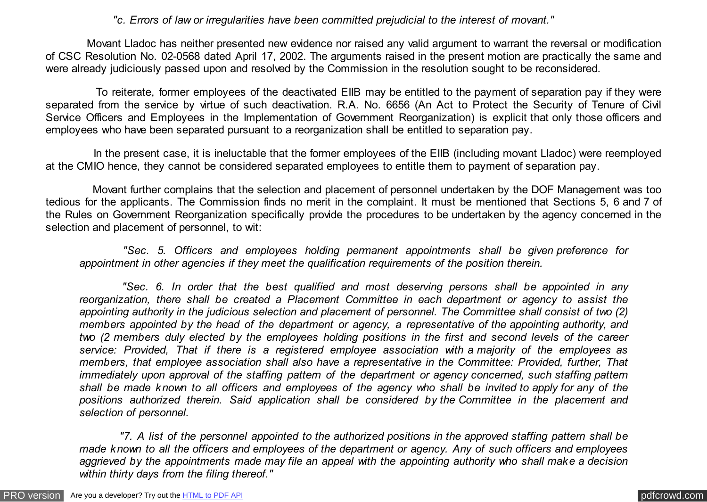*"c. Errors of law or irregularities have been committed prejudicial to the interest of movant."*

 Movant Lladoc has neither presented new evidence nor raised any valid argument to warrant the reversal or modification of CSC Resolution No. 02-0568 dated April 17, 2002. The arguments raised in the present motion are practically the same and were already judiciously passed upon and resolved by the Commission in the resolution sought to be reconsidered.

 To reiterate, former employees of the deactivated EIIB may be entitled to the payment of separation pay if they were separated from the service by virtue of such deactivation. R.A. No. 6656 (An Act to Protect the Security of Tenure of Civil Service Officers and Employees in the Implementation of Government Reorganization) is explicit that only those officers and employees who have been separated pursuant to a reorganization shall be entitled to separation pay.

 In the present case, it is ineluctable that the former employees of the EIIB (including movant Lladoc) were reemployed at the CMIO hence, they cannot be considered separated employees to entitle them to payment of separation pay.

 Movant further complains that the selection and placement of personnel undertaken by the DOF Management was too tedious for the applicants. The Commission finds no merit in the complaint. It must be mentioned that Sections 5, 6 and 7 of the Rules on Government Reorganization specifically provide the procedures to be undertaken by the agency concerned in the selection and placement of personnel, to wit:

 *"Sec. 5. Officers and employees holding permanent appointments shall be given preference for appointment in other agencies if they meet the qualification requirements of the position therein.*

 *"Sec. 6. In order that the best qualified and most deserving persons shall be appointed in any reorganization, there shall be created a Placement Committee in each department or agency to assist the appointing authority in the judicious selection and placement of personnel. The Committee shall consist of two (2) members appointed by the head of the department or agency, a representative of the appointing authority, and two (2 members duly elected by the employees holding positions in the first and second levels of the career service: Provided, That if there is a registered employee association with a majority of the employees as members, that employee association shall also have a representative in the Committee: Provided, further, That immediately upon approval of the staffing pattern of the department or agency concerned, such staffing pattern shall be made known to all officers and employees of the agency who shall be invited to apply for any of the positions authorized therein. Said application shall be considered by the Committee in the placement and selection of personnel.*

 *"7. A list of the personnel appointed to the authorized positions in the approved staffing pattern shall be made known to all the officers and employees of the department or agency. Any of such officers and employees aggrieved by the appointments made may file an appeal with the appointing authority who shall make a decision within thirty days from the filing thereof."*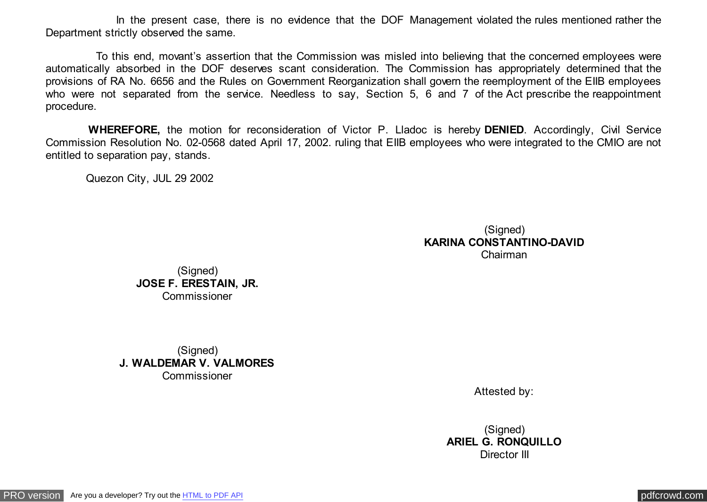In the present case, there is no evidence that the DOF Management violated the rules mentioned rather the Department strictly observed the same.

 To this end, movant's assertion that the Commission was misled into believing that the concerned employees were automatically absorbed in the DOF deserves scant consideration. The Commission has appropriately determined that the provisions of RA No. 6656 and the Rules on Government Reorganization shall govern the reemployment of the EIIB employees who were not separated from the service. Needless to say, Section 5, 6 and 7 of the Act prescribe the reappointment procedure.

 **WHEREFORE,** the motion for reconsideration of Victor P. Lladoc is hereby **DENIED**. Accordingly, Civil Service Commission Resolution No. 02-0568 dated April 17, 2002. ruling that EIIB employees who were integrated to the CMIO are not entitled to separation pay, stands.

Quezon City, JUL 29 2002

### (Signed) **KARINA CONSTANTINO-DAVID** Chairman

(Signed) **JOSE F. ERESTAIN, JR.** Commissioner

(Signed) **J. WALDEMAR V. VALMORES** Commissioner

Attested by:

(Signed) **ARIEL G. RONQUILLO** Director III